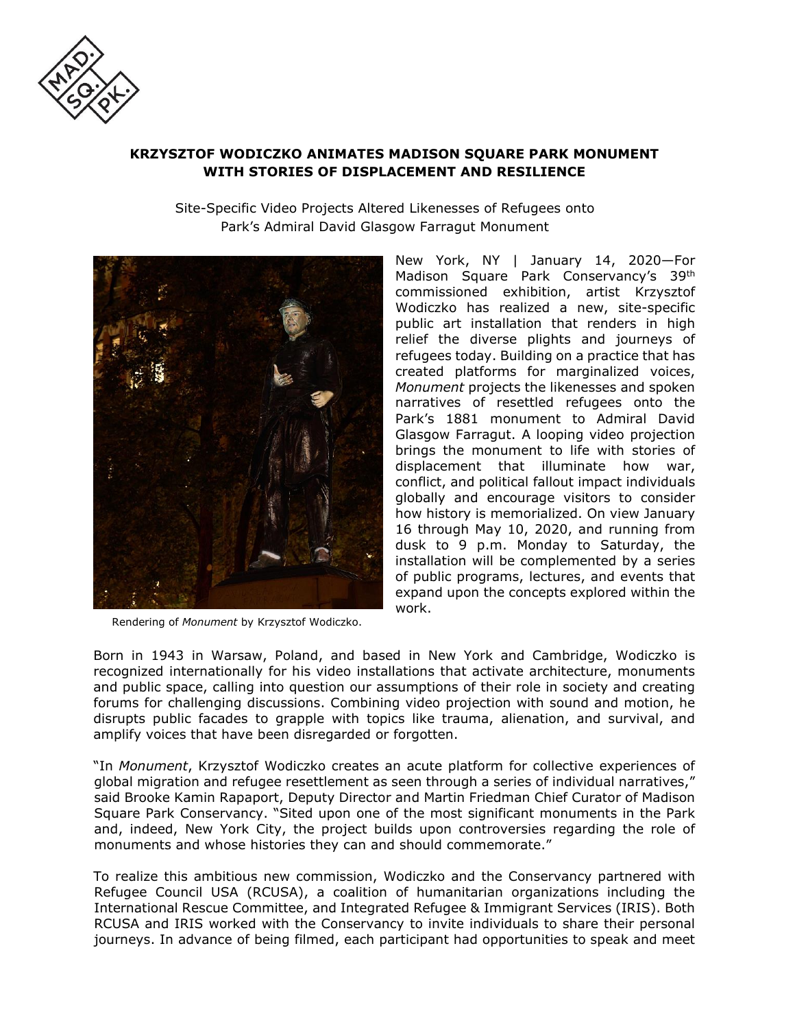

# **KRZYSZTOF WODICZKO ANIMATES MADISON SQUARE PARK MONUMENT WITH STORIES OF DISPLACEMENT AND RESILIENCE**

Site-Specific Video Projects Altered Likenesses of Refugees onto Park's Admiral David Glasgow Farragut Monument



Rendering of *Monument* by Krzysztof Wodiczko.

New York, NY | January 14, 2020—For Madison Square Park Conservancy's 39th commissioned exhibition, artist Krzysztof Wodiczko has realized a new, site-specific public art installation that renders in high relief the diverse plights and journeys of refugees today. Building on a practice that has created platforms for marginalized voices, *Monument* projects the likenesses and spoken narratives of resettled refugees onto the Park's 1881 monument to Admiral David Glasgow Farragut. A looping video projection brings the monument to life with stories of displacement that illuminate how war, conflict, and political fallout impact individuals globally and encourage visitors to consider how history is memorialized. On view January 16 through May 10, 2020, and running from dusk to 9 p.m. Monday to Saturday, the installation will be complemented by a series of public programs, lectures, and events that expand upon the concepts explored within the work.

Born in 1943 in Warsaw, Poland, and based in New York and Cambridge, Wodiczko is recognized internationally for his video installations that activate architecture, monuments and public space, calling into question our assumptions of their role in society and creating forums for challenging discussions. Combining video projection with sound and motion, he disrupts public facades to grapple with topics like trauma, alienation, and survival, and amplify voices that have been disregarded or forgotten.

"In *Monument*, Krzysztof Wodiczko creates an acute platform for collective experiences of global migration and refugee resettlement as seen through a series of individual narratives," said Brooke Kamin Rapaport, Deputy Director and Martin Friedman Chief Curator of Madison Square Park Conservancy. "Sited upon one of the most significant monuments in the Park and, indeed, New York City, the project builds upon controversies regarding the role of monuments and whose histories they can and should commemorate."

To realize this ambitious new commission, Wodiczko and the Conservancy partnered with Refugee Council USA (RCUSA), a coalition of humanitarian organizations including the International Rescue Committee, and Integrated Refugee & Immigrant Services (IRIS). Both RCUSA and IRIS worked with the Conservancy to invite individuals to share their personal journeys. In advance of being filmed, each participant had opportunities to speak and meet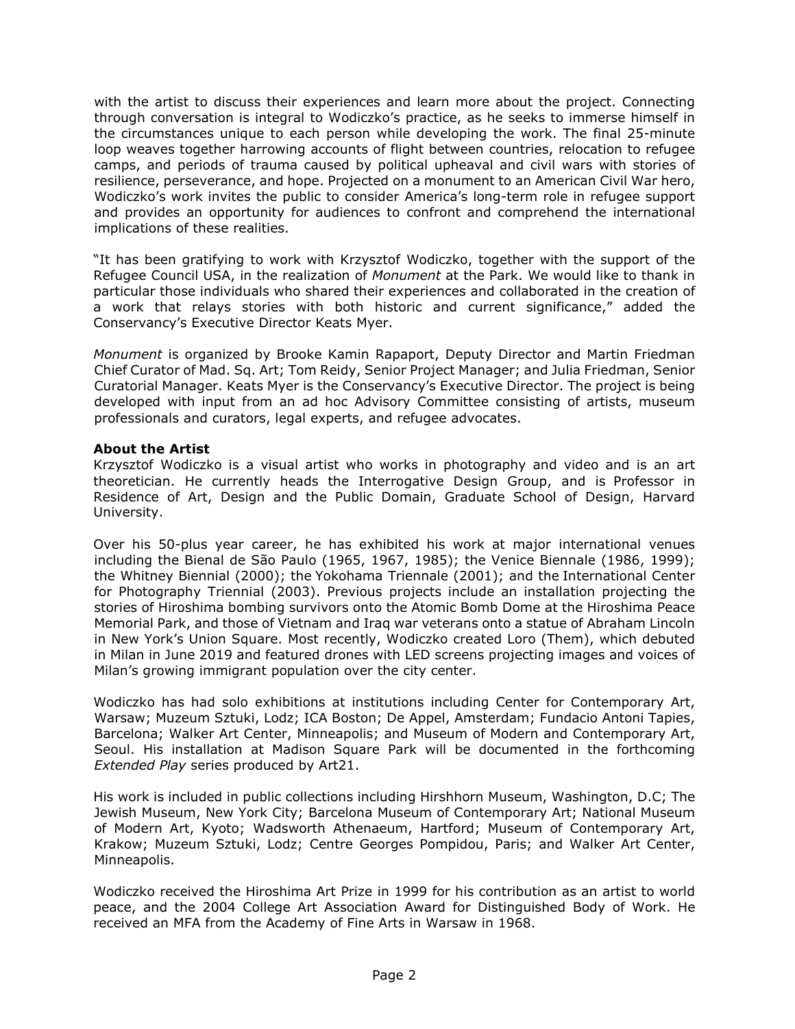with the artist to discuss their experiences and learn more about the project. Connecting through conversation is integral to Wodiczko's practice, as he seeks to immerse himself in the circumstances unique to each person while developing the work. The final 25-minute loop weaves together harrowing accounts of flight between countries, relocation to refugee camps, and periods of trauma caused by political upheaval and civil wars with stories of resilience, perseverance, and hope. Projected on a monument to an American Civil War hero, Wodiczko's work invites the public to consider America's long-term role in refugee support and provides an opportunity for audiences to confront and comprehend the international implications of these realities.

"It has been gratifying to work with Krzysztof Wodiczko, together with the support of the Refugee Council USA, in the realization of *Monument* at the Park. We would like to thank in particular those individuals who shared their experiences and collaborated in the creation of a work that relays stories with both historic and current significance," added the Conservancy's Executive Director Keats Myer.

*Monument* is organized by Brooke Kamin Rapaport, Deputy Director and Martin Friedman Chief Curator of Mad. Sq. Art; Tom Reidy, Senior Project Manager; and Julia Friedman, Senior Curatorial Manager. Keats Myer is the Conservancy's Executive Director. The project is being developed with input from an ad hoc Advisory Committee consisting of artists, museum professionals and curators, legal experts, and refugee advocates.

### **About the Artist**

Krzysztof Wodiczko is a visual artist who works in photography and video and is an art theoretician. He currently heads the Interrogative Design Group, and is Professor in Residence of Art, Design and the Public Domain, Graduate School of Design, Harvard University.

Over his 50-plus year career, he has exhibited his work at major international venues including the Bienal de São Paulo (1965, 1967, 1985); the Venice Biennale (1986, 1999); the Whitney Biennial (2000); the Yokohama Triennale (2001); and the International Center for Photography Triennial (2003). Previous projects include an installation projecting the stories of Hiroshima bombing survivors onto the Atomic Bomb Dome at the Hiroshima Peace Memorial Park, and those of Vietnam and Iraq war veterans onto a statue of Abraham Lincoln in New York's Union Square. Most recently, Wodiczko created Loro (Them), which debuted in Milan in June 2019 and featured drones with LED screens projecting images and voices of Milan's growing immigrant population over the city center.

Wodiczko has had solo exhibitions at institutions including Center for Contemporary Art, Warsaw; Muzeum Sztuki, Lodz; ICA Boston; De Appel, Amsterdam; Fundacio Antoni Tapies, Barcelona; Walker Art Center, Minneapolis; and Museum of Modern and Contemporary Art, Seoul. His installation at Madison Square Park will be documented in the forthcoming *Extended Play* series produced by Art21.

His work is included in public collections including Hirshhorn Museum, Washington, D.C; The Jewish Museum, New York City; Barcelona Museum of Contemporary Art; National Museum of Modern Art, Kyoto; Wadsworth Athenaeum, Hartford; Museum of Contemporary Art, Krakow; Muzeum Sztuki, Lodz; Centre Georges Pompidou, Paris; and Walker Art Center, Minneapolis.

Wodiczko received the Hiroshima Art Prize in 1999 for his contribution as an artist to world peace, and the 2004 College Art Association Award for Distinguished Body of Work. He received an MFA from the Academy of Fine Arts in Warsaw in 1968.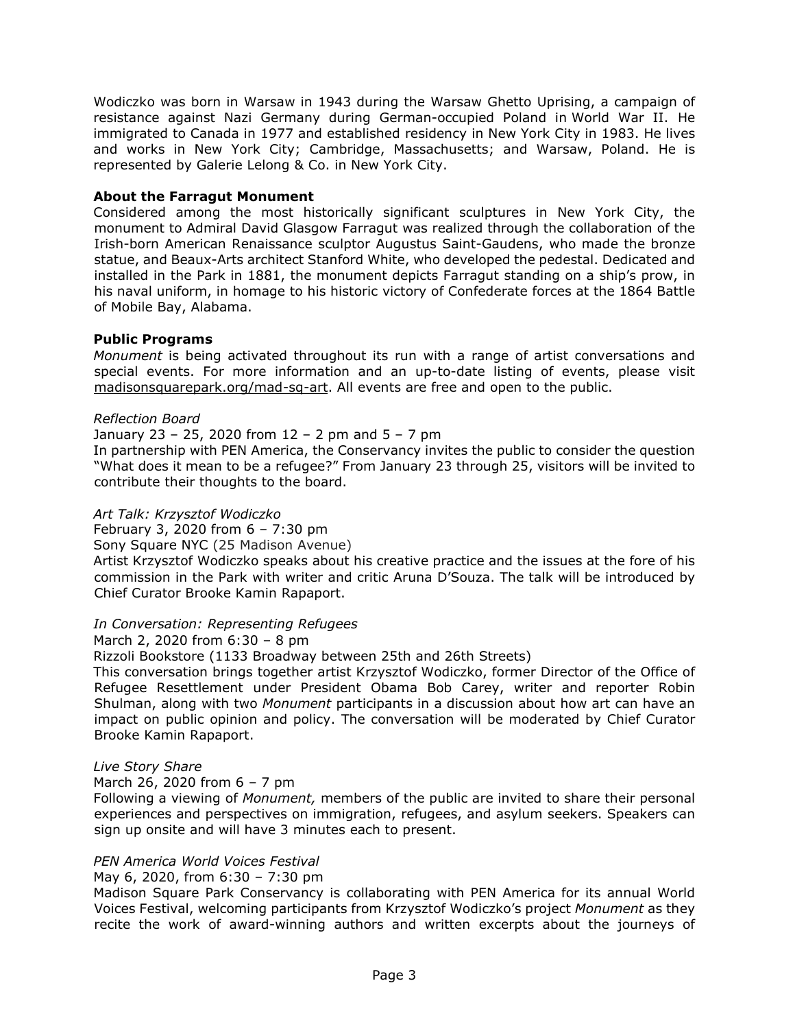Wodiczko was born in Warsaw in 1943 during the Warsaw Ghetto Uprising, a campaign of resistance against Nazi Germany during German-occupied Poland in World War II. He immigrated to Canada in 1977 and established residency in New York City in 1983. He lives and works in New York City; Cambridge, Massachusetts; and Warsaw, Poland. He is represented by Galerie Lelong & Co. in New York City.

### **About the Farragut Monument**

Considered among the most historically significant sculptures in New York City, the monument to Admiral David Glasgow Farragut was realized through the collaboration of the Irish-born American Renaissance sculptor Augustus Saint-Gaudens, who made the bronze statue, and Beaux-Arts architect Stanford White, who developed the pedestal. Dedicated and installed in the Park in 1881, the monument depicts Farragut standing on a ship's prow, in his naval uniform, in homage to his historic victory of Confederate forces at the 1864 Battle of Mobile Bay, Alabama.

### **Public Programs**

*Monument* is being activated throughout its run with a range of artist conversations and special events. For more information and an up-to-date listing of events, please visit [madisonsquarepark.org/mad-sq-art.](http://www.madisonsquarepark.org/mad-sq-art) All events are free and open to the public.

### *Reflection Board*

## January 23 – 25, 2020 from 12 – 2 pm and 5 – 7 pm

In partnership with PEN America, the Conservancy invites the public to consider the question "What does it mean to be a refugee?" From January 23 through 25, visitors will be invited to contribute their thoughts to the board.

### *Art Talk: Krzysztof Wodiczko*

February 3, 2020 from 6 – 7:30 pm

Sony Square NYC (25 Madison Avenue)

Artist Krzysztof Wodiczko speaks about his creative practice and the issues at the fore of his commission in the Park with writer and critic Aruna D'Souza. The talk will be introduced by Chief Curator Brooke Kamin Rapaport.

### *In Conversation: Representing Refugees*

March 2, 2020 from 6:30 – 8 pm

Rizzoli Bookstore (1133 Broadway between 25th and 26th Streets)

This conversation brings together artist Krzysztof Wodiczko, former Director of the Office of Refugee Resettlement under President Obama Bob Carey, writer and reporter Robin Shulman, along with two *Monument* participants in a discussion about how art can have an impact on public opinion and policy. The conversation will be moderated by Chief Curator Brooke Kamin Rapaport.

### *Live Story Share*

March 26, 2020 from 6 – 7 pm

Following a viewing of *Monument,* members of the public are invited to share their personal experiences and perspectives on immigration, refugees, and asylum seekers. Speakers can sign up onsite and will have 3 minutes each to present.

### *PEN America World Voices Festival*

May 6, 2020, from 6:30 – 7:30 pm

Madison Square Park Conservancy is collaborating with PEN America for its annual World Voices Festival, welcoming participants from Krzysztof Wodiczko's project *Monument* as they recite the work of award-winning authors and written excerpts about the journeys of